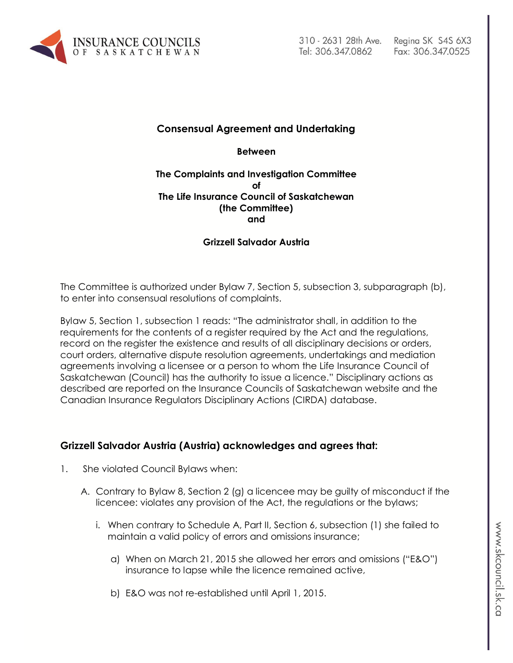

# **Consensual Agreement and Undertaking**

**Between**

### **The Complaints and Investigation Committee of The Life Insurance Council of Saskatchewan (the Committee) and**

## **Grizzell Salvador Austria**

The Committee is authorized under Bylaw 7, Section 5, subsection 3, subparagraph (b), to enter into consensual resolutions of complaints.

Bylaw 5, Section 1, subsection 1 reads: "The administrator shall, in addition to the requirements for the contents of a register required by the Act and the regulations, record on the register the existence and results of all disciplinary decisions or orders, court orders, alternative dispute resolution agreements, undertakings and mediation agreements involving a licensee or a person to whom the Life Insurance Council of Saskatchewan (Council) has the authority to issue a licence." Disciplinary actions as described are reported on the Insurance Councils of Saskatchewan website and the Canadian Insurance Regulators Disciplinary Actions (CIRDA) database.

## **Grizzell Salvador Austria (Austria) acknowledges and agrees that:**

- 1. She violated Council Bylaws when:
	- A. Contrary to Bylaw 8, Section 2 (g) a licencee may be guilty of misconduct if the licencee: violates any provision of the Act, the regulations or the bylaws;
		- i. When contrary to Schedule A, Part II, Section 6, subsection (1) she failed to maintain a valid policy of errors and omissions insurance;
			- a) When on March 21, 2015 she allowed her errors and omissions ("E&O") insurance to lapse while the licence remained active,
			- b) E&O was not re-established until April 1, 2015.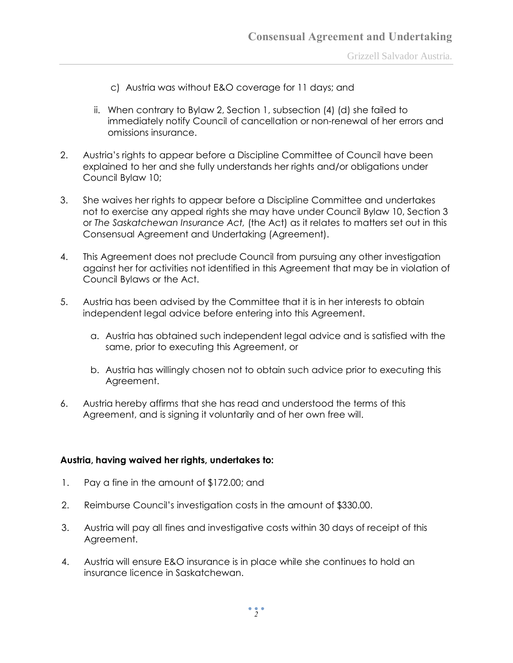- c) Austria was without E&O coverage for 11 days; and
- ii. When contrary to Bylaw 2, Section 1, subsection (4) (d) she failed to immediately notify Council of cancellation or non-renewal of her errors and omissions insurance.
- 2. Austria's rights to appear before a Discipline Committee of Council have been explained to her and she fully understands her rights and/or obligations under Council Bylaw 10;
- 3. She waives her rights to appear before a Discipline Committee and undertakes not to exercise any appeal rights she may have under Council Bylaw 10, Section 3 or *The Saskatchewan Insurance Act,* (the Act) as it relates to matters set out in this Consensual Agreement and Undertaking (Agreement).
- 4. This Agreement does not preclude Council from pursuing any other investigation against her for activities not identified in this Agreement that may be in violation of Council Bylaws or the Act.
- 5. Austria has been advised by the Committee that it is in her interests to obtain independent legal advice before entering into this Agreement.
	- a. Austria has obtained such independent legal advice and is satisfied with the same, prior to executing this Agreement, or
	- b. Austria has willingly chosen not to obtain such advice prior to executing this Agreement.
- 6. Austria hereby affirms that she has read and understood the terms of this Agreement, and is signing it voluntarily and of her own free will.

### **Austria, having waived her rights, undertakes to:**

- 1. Pay a fine in the amount of \$172.00; and
- 2. Reimburse Council's investigation costs in the amount of \$330.00.
- 3. Austria will pay all fines and investigative costs within 30 days of receipt of this Agreement.
- 4. Austria will ensure E&O insurance is in place while she continues to hold an insurance licence in Saskatchewan.